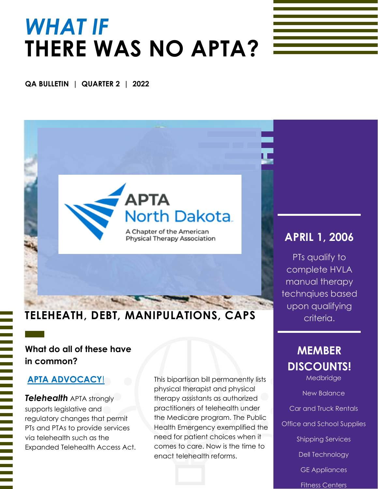# *WHAT IF* **THERE WAS NO APTA?**

#### **QA BULLETIN | QUARTER 2 | 2022**

## APTA **North Dakota.**

A Chapter of the American Physical Therapy Association

## **TELEHEATH, DEBT, MANIPULATIONS, CAPS**

### **What do all of these have in common?**

#### **APTA ADVOCACY**!

*Telehealth* APTA strongly supports legislative and regulatory changes that permit PTs and PTAs to provide services via telehealth such as the Expanded Telehealth Access Act. This bipartisan bill permanently lists physical therapist and physical therapy assistants as authorized practitioners of telehealth under the Medicare program. The Public Health Emergency exemplified the need for patient choices when it comes to care. Now is the time to enact telehealth reforms.

### **APRIL 1, 2006**

PTs qualify to complete HVLA manual therapy technqiues based upon qualifying

## **MEMBER DISCOUNTS!**

Medbridge

New Balance

Car and Truck Rentals

Office and School Supplies

Shipping Services

Dell Technology

GE Appliances

Fitness Centers